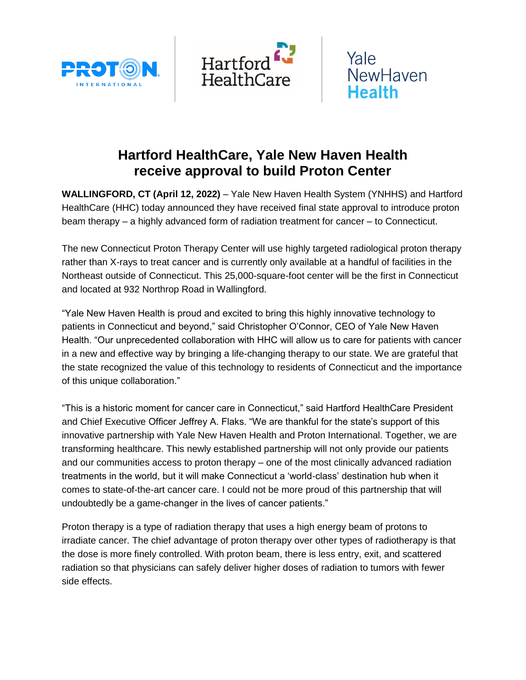





## **Hartford HealthCare, Yale New Haven Health receive approval to build Proton Center**

**WALLINGFORD, CT (April 12, 2022)** – Yale New Haven Health System (YNHHS) and Hartford HealthCare (HHC) today announced they have received final state approval to introduce proton beam therapy – a highly advanced form of radiation treatment for cancer – to Connecticut.

The new Connecticut Proton Therapy Center will use highly targeted radiological proton therapy rather than X-rays to treat cancer and is currently only available at a handful of facilities in the Northeast outside of Connecticut. This 25,000-square-foot center will be the first in Connecticut and located at 932 Northrop Road in Wallingford.

"Yale New Haven Health is proud and excited to bring this highly innovative technology to patients in Connecticut and beyond," said Christopher O'Connor, CEO of Yale New Haven Health. "Our unprecedented collaboration with HHC will allow us to care for patients with cancer in a new and effective way by bringing a life-changing therapy to our state. We are grateful that the state recognized the value of this technology to residents of Connecticut and the importance of this unique collaboration."

"This is a historic moment for cancer care in Connecticut," said Hartford HealthCare President and Chief Executive Officer Jeffrey A. Flaks. "We are thankful for the state's support of this innovative partnership with Yale New Haven Health and Proton International. Together, we are transforming healthcare. This newly established partnership will not only provide our patients and our communities access to proton therapy – one of the most clinically advanced radiation treatments in the world, but it will make Connecticut a 'world-class' destination hub when it comes to state-of-the-art cancer care. I could not be more proud of this partnership that will undoubtedly be a game-changer in the lives of cancer patients."

Proton therapy is a type of radiation therapy that uses a high energy beam of protons to irradiate cancer. The chief advantage of proton therapy over other types of radiotherapy is that the dose is more finely controlled. With proton beam, there is less entry, exit, and scattered radiation so that physicians can safely deliver higher doses of radiation to tumors with fewer side effects.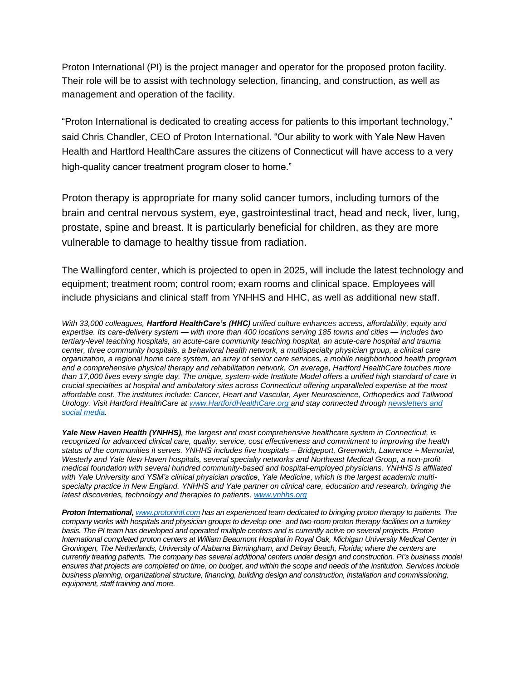Proton International (PI) is the project manager and operator for the proposed proton facility. Their role will be to assist with technology selection, financing, and construction, as well as management and operation of the facility.

"Proton International is dedicated to creating access for patients to this important technology," said Chris Chandler, CEO of Proton International. "Our ability to work with Yale New Haven Health and Hartford HealthCare assures the citizens of Connecticut will have access to a very high-quality cancer treatment program closer to home."

Proton therapy is appropriate for many solid cancer tumors, including tumors of the brain and central nervous system, eye, gastrointestinal tract, head and neck, liver, lung, prostate, spine and breast. It is particularly beneficial for children, as they are more vulnerable to damage to healthy tissue from radiation.

The Wallingford center, which is projected to open in 2025, will include the latest technology and equipment; treatment room; control room; exam rooms and clinical space. Employees will include physicians and clinical staff from YNHHS and HHC, as well as additional new staff.

*With 33,000 colleagues, Hartford HealthCare's (HHC) unified culture enhances access, affordability, equity and expertise. Its care-delivery system — with more than 400 locations serving 185 towns and cities — includes two tertiary-level teaching hospitals, an acute-care community teaching hospital, an acute-care hospital and trauma center, three community hospitals, a behavioral health network, a multispecialty physician group, a clinical care organization, a regional home care system, an array of senior care services, a mobile neighborhood health program and a comprehensive physical therapy and rehabilitation network. On average, Hartford HealthCare touches more than 17,000 lives every single day. The unique, system-wide Institute Model offers a unified high standard of care in crucial specialties at hospital and ambulatory sites across Connecticut offering unparalleled expertise at the most affordable cost. The institutes include: Cancer, Heart and Vascular, Ayer Neuroscience, Orthopedics and Tallwood Urology. Visit Hartford HealthCare a[t www.HartfordHealthCare.org](http://www.hartfordhealthcare.org/) and stay connected through [newsletters and](https://hartfordhealthcare.org/media#newsletters)  [social media.](https://hartfordhealthcare.org/media#newsletters)*

*Yale New Haven Health (YNHHS), the largest and most comprehensive healthcare system in Connecticut, is recognized for advanced clinical care, quality, service, cost effectiveness and commitment to improving the health status of the communities it serves. YNHHS includes five hospitals – Bridgeport, Greenwich, Lawrence + Memorial, Westerly and Yale New Haven hospitals, several specialty networks and Northeast Medical Group, a non-profit medical foundation with several hundred community-based and hospital-employed physicians. YNHHS is affiliated with Yale University and YSM's clinical physician practice, Yale Medicine, which is the largest academic multispecialty practice in New England. YNHHS and Yale partner on clinical care, education and research, bringing the latest discoveries, technology and therapies to patients[. www.ynhhs.org](http://www.ynhhs.org/)*

*Proton International, [www.protonintl.com](http://www.protonintl.com/) has an experienced team dedicated to bringing proton therapy to patients. The company works with hospitals and physician groups to develop one- and two-room proton therapy facilities on a turnkey basis. The PI team has developed and operated multiple centers and is currently active on several projects. Proton International completed proton centers at William Beaumont Hospital in Royal Oak, Michigan University Medical Center in Groningen, The Netherlands, University of Alabama Birmingham, and Delray Beach, Florida; where the centers are currently treating patients. The company has several additional centers under design and construction. PI's business model ensures that projects are completed on time, on budget, and within the scope and needs of the institution. Services include business planning, organizational structure, financing, building design and construction, installation and commissioning, equipment, staff training and more.*